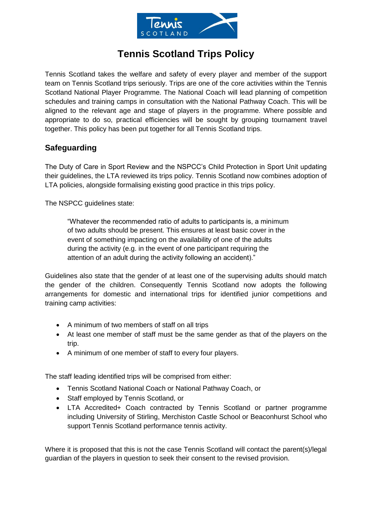

# **Tennis Scotland Trips Policy**

Tennis Scotland takes the welfare and safety of every player and member of the support team on Tennis Scotland trips seriously. Trips are one of the core activities within the Tennis Scotland National Player Programme. The National Coach will lead planning of competition schedules and training camps in consultation with the National Pathway Coach. This will be aligned to the relevant age and stage of players in the programme. Where possible and appropriate to do so, practical efficiencies will be sought by grouping tournament travel together. This policy has been put together for all Tennis Scotland trips.

## **Safeguarding**

The Duty of Care in Sport Review and the NSPCC's Child Protection in Sport Unit updating their guidelines, the LTA reviewed its trips policy. Tennis Scotland now combines adoption of LTA policies, alongside formalising existing good practice in this trips policy.

The NSPCC guidelines state:

"Whatever the recommended ratio of adults to participants is, a minimum of two adults should be present. This ensures at least basic cover in the event of something impacting on the availability of one of the adults during the activity (e.g. in the event of one participant requiring the attention of an adult during the activity following an accident)."

Guidelines also state that the gender of at least one of the supervising adults should match the gender of the children. Consequently Tennis Scotland now adopts the following arrangements for domestic and international trips for identified junior competitions and training camp activities:

- A minimum of two members of staff on all trips
- At least one member of staff must be the same gender as that of the players on the trip.
- A minimum of one member of staff to every four players.

The staff leading identified trips will be comprised from either:

- Tennis Scotland National Coach or National Pathway Coach, or
- Staff employed by Tennis Scotland, or
- LTA Accredited+ Coach contracted by Tennis Scotland or partner programme including University of Stirling, Merchiston Castle School or Beaconhurst School who support Tennis Scotland performance tennis activity.

Where it is proposed that this is not the case Tennis Scotland will contact the parent(s)/legal guardian of the players in question to seek their consent to the revised provision.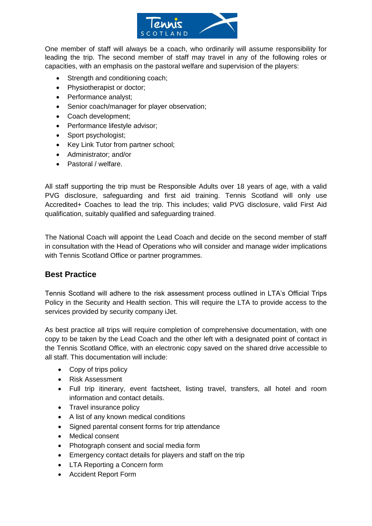

One member of staff will always be a coach, who ordinarily will assume responsibility for leading the trip. The second member of staff may travel in any of the following roles or capacities, with an emphasis on the pastoral welfare and supervision of the players:

- Strength and conditioning coach;
- Physiotherapist or doctor;
- Performance analyst;
- Senior coach/manager for player observation;
- Coach development;
- Performance lifestyle advisor;
- Sport psychologist;
- Key Link Tutor from partner school;
- Administrator; and/or
- Pastoral / welfare.

All staff supporting the trip must be Responsible Adults over 18 years of age, with a valid PVG disclosure, safeguarding and first aid training. Tennis Scotland will only use Accredited+ Coaches to lead the trip. This includes; valid PVG disclosure, valid First Aid qualification, suitably qualified and safeguarding trained.

The National Coach will appoint the Lead Coach and decide on the second member of staff in consultation with the Head of Operations who will consider and manage wider implications with Tennis Scotland Office or partner programmes.

### **Best Practice**

Tennis Scotland will adhere to the risk assessment process outlined in LTA's Official Trips Policy in the Security and Health section. This will require the LTA to provide access to the services provided by security company iJet.

As best practice all trips will require completion of comprehensive documentation, with one copy to be taken by the Lead Coach and the other left with a designated point of contact in the Tennis Scotland Office, with an electronic copy saved on the shared drive accessible to all staff. This documentation will include:

- Copy of trips policy
- Risk Assessment
- Full trip itinerary, event factsheet, listing travel, transfers, all hotel and room information and contact details.
- Travel insurance policy
- A list of any known medical conditions
- Signed parental consent forms for trip attendance
- Medical consent
- Photograph consent and social media form
- Emergency contact details for players and staff on the trip
- LTA Reporting a Concern form
- Accident Report Form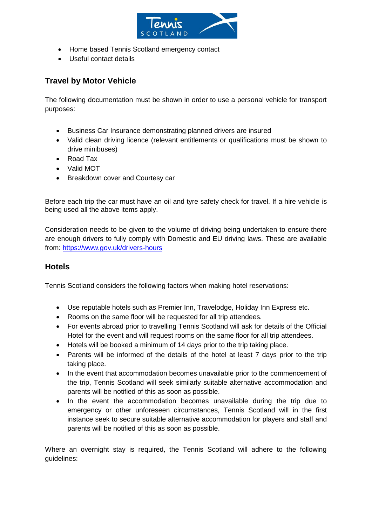

- Home based Tennis Scotland emergency contact
- Useful contact details

## **Travel by Motor Vehicle**

The following documentation must be shown in order to use a personal vehicle for transport purposes:

- Business Car Insurance demonstrating planned drivers are insured
- Valid clean driving licence (relevant entitlements or qualifications must be shown to drive minibuses)
- Road Tax
- Valid MOT
- Breakdown cover and Courtesy car

Before each trip the car must have an oil and tyre safety check for travel. If a hire vehicle is being used all the above items apply.

Consideration needs to be given to the volume of driving being undertaken to ensure there are enough drivers to fully comply with Domestic and EU driving laws. These are available from:<https://www.gov.uk/drivers-hours>

### **Hotels**

Tennis Scotland considers the following factors when making hotel reservations:

- Use reputable hotels such as Premier Inn, Travelodge, Holiday Inn Express etc.
- Rooms on the same floor will be requested for all trip attendees.
- For events abroad prior to travelling Tennis Scotland will ask for details of the Official Hotel for the event and will request rooms on the same floor for all trip attendees.
- Hotels will be booked a minimum of 14 days prior to the trip taking place.
- Parents will be informed of the details of the hotel at least 7 days prior to the trip taking place.
- In the event that accommodation becomes unavailable prior to the commencement of the trip, Tennis Scotland will seek similarly suitable alternative accommodation and parents will be notified of this as soon as possible.
- In the event the accommodation becomes unavailable during the trip due to emergency or other unforeseen circumstances, Tennis Scotland will in the first instance seek to secure suitable alternative accommodation for players and staff and parents will be notified of this as soon as possible.

Where an overnight stay is required, the Tennis Scotland will adhere to the following guidelines: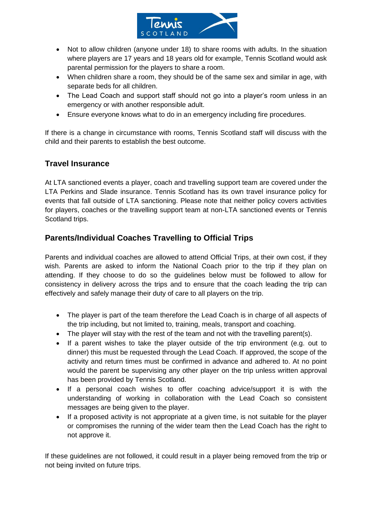

- Not to allow children (anyone under 18) to share rooms with adults. In the situation where players are 17 years and 18 years old for example, Tennis Scotland would ask parental permission for the players to share a room.
- When children share a room, they should be of the same sex and similar in age, with separate beds for all children.
- The Lead Coach and support staff should not go into a player's room unless in an emergency or with another responsible adult.
- Ensure everyone knows what to do in an emergency including fire procedures.

If there is a change in circumstance with rooms, Tennis Scotland staff will discuss with the child and their parents to establish the best outcome.

## **Travel Insurance**

At LTA sanctioned events a player, coach and travelling support team are covered under the LTA Perkins and Slade insurance. Tennis Scotland has its own travel insurance policy for events that fall outside of LTA sanctioning. Please note that neither policy covers activities for players, coaches or the travelling support team at non-LTA sanctioned events or Tennis Scotland trips.

## **Parents/Individual Coaches Travelling to Official Trips**

Parents and individual coaches are allowed to attend Official Trips, at their own cost, if they wish. Parents are asked to inform the National Coach prior to the trip if they plan on attending. If they choose to do so the guidelines below must be followed to allow for consistency in delivery across the trips and to ensure that the coach leading the trip can effectively and safely manage their duty of care to all players on the trip.

- The player is part of the team therefore the Lead Coach is in charge of all aspects of the trip including, but not limited to, training, meals, transport and coaching.
- The player will stay with the rest of the team and not with the travelling parent(s).
- If a parent wishes to take the player outside of the trip environment (e.g. out to dinner) this must be requested through the Lead Coach. If approved, the scope of the activity and return times must be confirmed in advance and adhered to. At no point would the parent be supervising any other player on the trip unless written approval has been provided by Tennis Scotland.
- If a personal coach wishes to offer coaching advice/support it is with the understanding of working in collaboration with the Lead Coach so consistent messages are being given to the player.
- If a proposed activity is not appropriate at a given time, is not suitable for the player or compromises the running of the wider team then the Lead Coach has the right to not approve it.

If these guidelines are not followed, it could result in a player being removed from the trip or not being invited on future trips.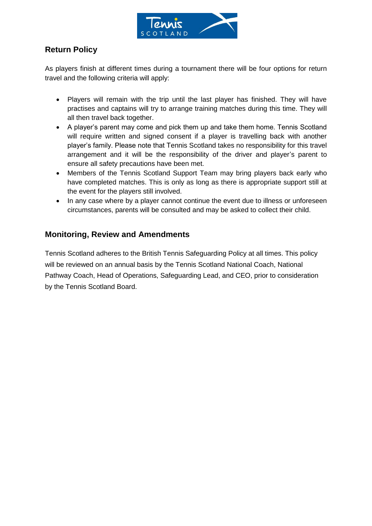

## **Return Policy**

As players finish at different times during a tournament there will be four options for return travel and the following criteria will apply:

- Players will remain with the trip until the last player has finished. They will have practises and captains will try to arrange training matches during this time. They will all then travel back together.
- A player's parent may come and pick them up and take them home. Tennis Scotland will require written and signed consent if a player is travelling back with another player's family. Please note that Tennis Scotland takes no responsibility for this travel arrangement and it will be the responsibility of the driver and player's parent to ensure all safety precautions have been met.
- Members of the Tennis Scotland Support Team may bring players back early who have completed matches. This is only as long as there is appropriate support still at the event for the players still involved.
- In any case where by a player cannot continue the event due to illness or unforeseen circumstances, parents will be consulted and may be asked to collect their child.

### **Monitoring, Review and Amendments**

Tennis Scotland adheres to the British Tennis Safeguarding Policy at all times. This policy will be reviewed on an annual basis by the Tennis Scotland National Coach, National Pathway Coach, Head of Operations, Safeguarding Lead, and CEO, prior to consideration by the Tennis Scotland Board.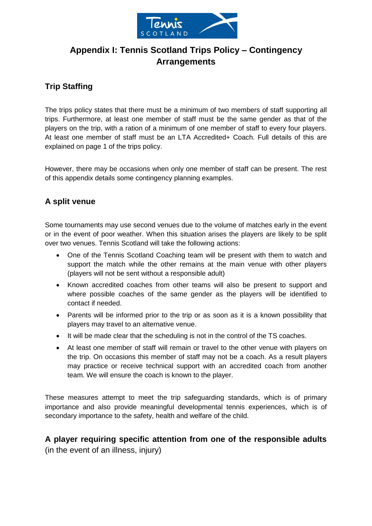

## **Appendix I: Tennis Scotland Trips Policy – Contingency Arrangements**

## **Trip Staffing**

The trips policy states that there must be a minimum of two members of staff supporting all trips. Furthermore, at least one member of staff must be the same gender as that of the players on the trip, with a ration of a minimum of one member of staff to every four players. At least one member of staff must be an LTA Accredited+ Coach. Full details of this are explained on page 1 of the trips policy.

However, there may be occasions when only one member of staff can be present. The rest of this appendix details some contingency planning examples.

## **A split venue**

Some tournaments may use second venues due to the volume of matches early in the event or in the event of poor weather. When this situation arises the players are likely to be split over two venues. Tennis Scotland will take the following actions:

- One of the Tennis Scotland Coaching team will be present with them to watch and support the match while the other remains at the main venue with other players (players will not be sent without a responsible adult)
- Known accredited coaches from other teams will also be present to support and where possible coaches of the same gender as the players will be identified to contact if needed.
- Parents will be informed prior to the trip or as soon as it is a known possibility that players may travel to an alternative venue.
- It will be made clear that the scheduling is not in the control of the TS coaches.
- At least one member of staff will remain or travel to the other venue with players on the trip. On occasions this member of staff may not be a coach. As a result players may practice or receive technical support with an accredited coach from another team. We will ensure the coach is known to the player.

These measures attempt to meet the trip safeguarding standards, which is of primary importance and also provide meaningful developmental tennis experiences, which is of secondary importance to the safety, health and welfare of the child.

## **A player requiring specific attention from one of the responsible adults**  (in the event of an illness, injury)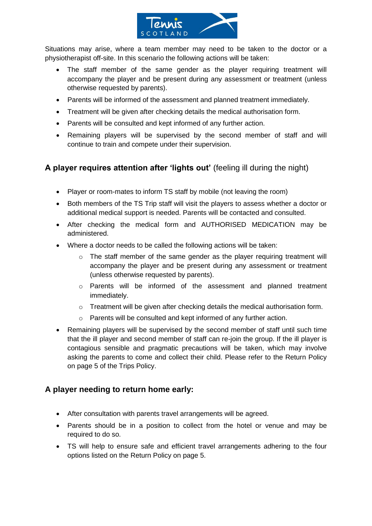

Situations may arise, where a team member may need to be taken to the doctor or a physiotherapist off-site. In this scenario the following actions will be taken:

- The staff member of the same gender as the player requiring treatment will accompany the player and be present during any assessment or treatment (unless otherwise requested by parents).
- Parents will be informed of the assessment and planned treatment immediately.
- Treatment will be given after checking details the medical authorisation form.
- Parents will be consulted and kept informed of any further action.
- Remaining players will be supervised by the second member of staff and will continue to train and compete under their supervision.

## **A player requires attention after 'lights out'** (feeling ill during the night)

- Player or room-mates to inform TS staff by mobile (not leaving the room)
- Both members of the TS Trip staff will visit the players to assess whether a doctor or additional medical support is needed. Parents will be contacted and consulted.
- After checking the medical form and AUTHORISED MEDICATION may be administered.
- Where a doctor needs to be called the following actions will be taken:
	- $\circ$  The staff member of the same gender as the player requiring treatment will accompany the player and be present during any assessment or treatment (unless otherwise requested by parents).
	- o Parents will be informed of the assessment and planned treatment immediately.
	- $\circ$  Treatment will be given after checking details the medical authorisation form.
	- o Parents will be consulted and kept informed of any further action.
- Remaining players will be supervised by the second member of staff until such time that the ill player and second member of staff can re-join the group. If the ill player is contagious sensible and pragmatic precautions will be taken, which may involve asking the parents to come and collect their child. Please refer to the Return Policy on page 5 of the Trips Policy.

### **A player needing to return home early:**

- After consultation with parents travel arrangements will be agreed.
- Parents should be in a position to collect from the hotel or venue and may be required to do so.
- TS will help to ensure safe and efficient travel arrangements adhering to the four options listed on the Return Policy on page 5.